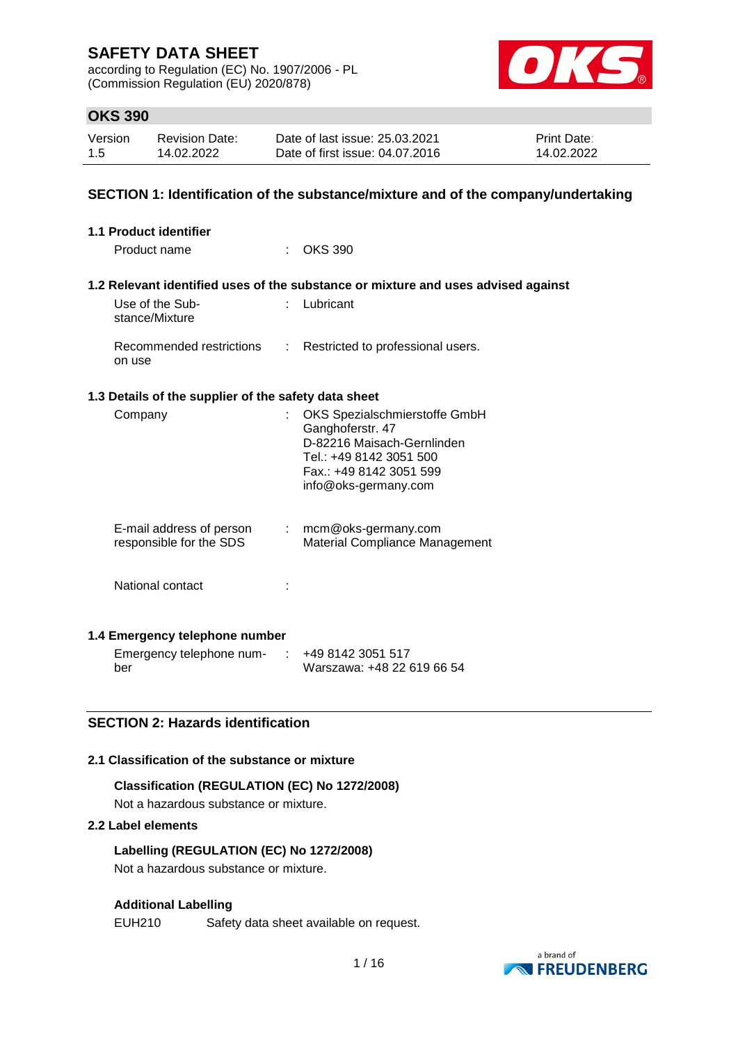according to Regulation (EC) No. 1907/2006 - PL (Commission Regulation (EU) 2020/878)



## **OKS 390**

| Version | <b>Revision Date:</b> | Date of last issue: 25.03.2021  | <b>Print Date:</b> |
|---------|-----------------------|---------------------------------|--------------------|
| 1.5     | 14.02.2022            | Date of first issue: 04.07.2016 | 14.02.2022         |

### **SECTION 1: Identification of the substance/mixture and of the company/undertaking**

| 1.1 Product identifier            |                                                      |                            |                                                                                                                                                               |
|-----------------------------------|------------------------------------------------------|----------------------------|---------------------------------------------------------------------------------------------------------------------------------------------------------------|
| Product name                      |                                                      |                            | <b>OKS 390</b>                                                                                                                                                |
|                                   |                                                      |                            |                                                                                                                                                               |
|                                   |                                                      |                            | 1.2 Relevant identified uses of the substance or mixture and uses advised against                                                                             |
| Use of the Sub-<br>stance/Mixture |                                                      |                            | Lubricant                                                                                                                                                     |
| on use                            | Recommended restrictions                             | $\mathbb{Z}^{\mathbb{Z}}$  | Restricted to professional users.                                                                                                                             |
|                                   | 1.3 Details of the supplier of the safety data sheet |                            |                                                                                                                                                               |
| Company                           |                                                      |                            | OKS Spezialschmierstoffe GmbH<br>Ganghoferstr. 47<br>D-82216 Maisach-Gernlinden<br>Tel.: +49 8142 3051 500<br>Fax.: +49 8142 3051 599<br>info@oks-germany.com |
|                                   | E-mail address of person<br>responsible for the SDS  | $\mathcal{L}^{\text{max}}$ | mcm@oks-germany.com<br>Material Compliance Management                                                                                                         |
| National contact                  |                                                      |                            |                                                                                                                                                               |
|                                   | 1.4 Emergency telephone number                       |                            |                                                                                                                                                               |
|                                   |                                                      |                            |                                                                                                                                                               |

Emergency telephone num-: +49 8142 3051 517 ber Warszawa: +48 22 619 66 54

### **SECTION 2: Hazards identification**

#### **2.1 Classification of the substance or mixture**

# **Classification (REGULATION (EC) No 1272/2008)**

Not a hazardous substance or mixture.

### **2.2 Label elements**

**Labelling (REGULATION (EC) No 1272/2008)** Not a hazardous substance or mixture.

#### **Additional Labelling**

EUH210 Safety data sheet available on request.

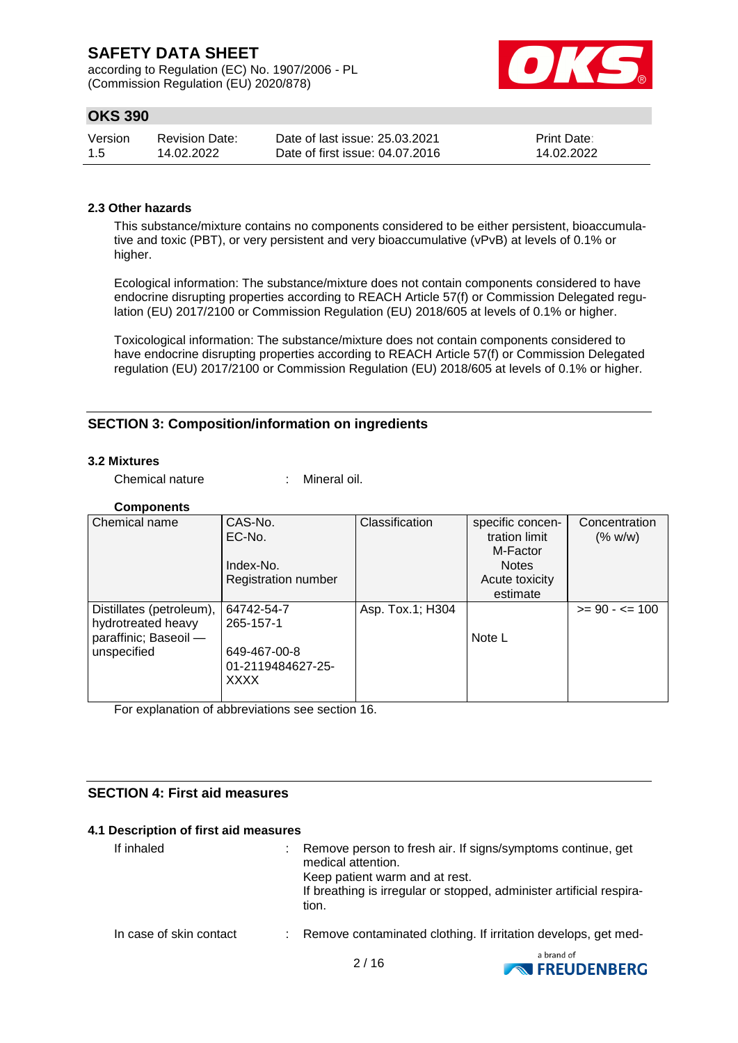according to Regulation (EC) No. 1907/2006 - PL (Commission Regulation (EU) 2020/878)



## **OKS 390**

| Version | Revision Date: | Date of last issue: 25.03.2021  | <b>Print Date:</b> |
|---------|----------------|---------------------------------|--------------------|
| 1.5     | 14.02.2022     | Date of first issue: 04.07.2016 | 14.02.2022         |

## **2.3 Other hazards**

This substance/mixture contains no components considered to be either persistent, bioaccumulative and toxic (PBT), or very persistent and very bioaccumulative (vPvB) at levels of 0.1% or higher.

Ecological information: The substance/mixture does not contain components considered to have endocrine disrupting properties according to REACH Article 57(f) or Commission Delegated regulation (EU) 2017/2100 or Commission Regulation (EU) 2018/605 at levels of 0.1% or higher.

Toxicological information: The substance/mixture does not contain components considered to have endocrine disrupting properties according to REACH Article 57(f) or Commission Delegated regulation (EU) 2017/2100 or Commission Regulation (EU) 2018/605 at levels of 0.1% or higher.

### **SECTION 3: Composition/information on ingredients**

#### **3.2 Mixtures**

Chemical nature : Mineral oil.

#### **Components**

| Chemical name                                                                          | CAS-No.<br>EC-No.<br>Index-No.<br><b>Registration number</b>         | Classification   | specific concen-<br>tration limit<br>M-Factor<br><b>Notes</b><br>Acute toxicity | Concentration<br>(% w/w) |
|----------------------------------------------------------------------------------------|----------------------------------------------------------------------|------------------|---------------------------------------------------------------------------------|--------------------------|
|                                                                                        |                                                                      |                  | estimate                                                                        |                          |
| Distillates (petroleum),<br>hydrotreated heavy<br>paraffinic; Baseoil -<br>unspecified | 64742-54-7<br>265-157-1<br>649-467-00-8<br>01-2119484627-25-<br>XXXX | Asp. Tox.1; H304 | Note L                                                                          | $>= 90 - 5 = 100$        |

For explanation of abbreviations see section 16.

### **SECTION 4: First aid measures**

#### **4.1 Description of first aid measures**

| If inhaled              | : Remove person to fresh air. If signs/symptoms continue, get<br>medical attention.<br>Keep patient warm and at rest.<br>If breathing is irregular or stopped, administer artificial respira-<br>tion. |
|-------------------------|--------------------------------------------------------------------------------------------------------------------------------------------------------------------------------------------------------|
| In case of skin contact | : Remove contaminated clothing. If irritation develops, get med-                                                                                                                                       |
|                         |                                                                                                                                                                                                        |

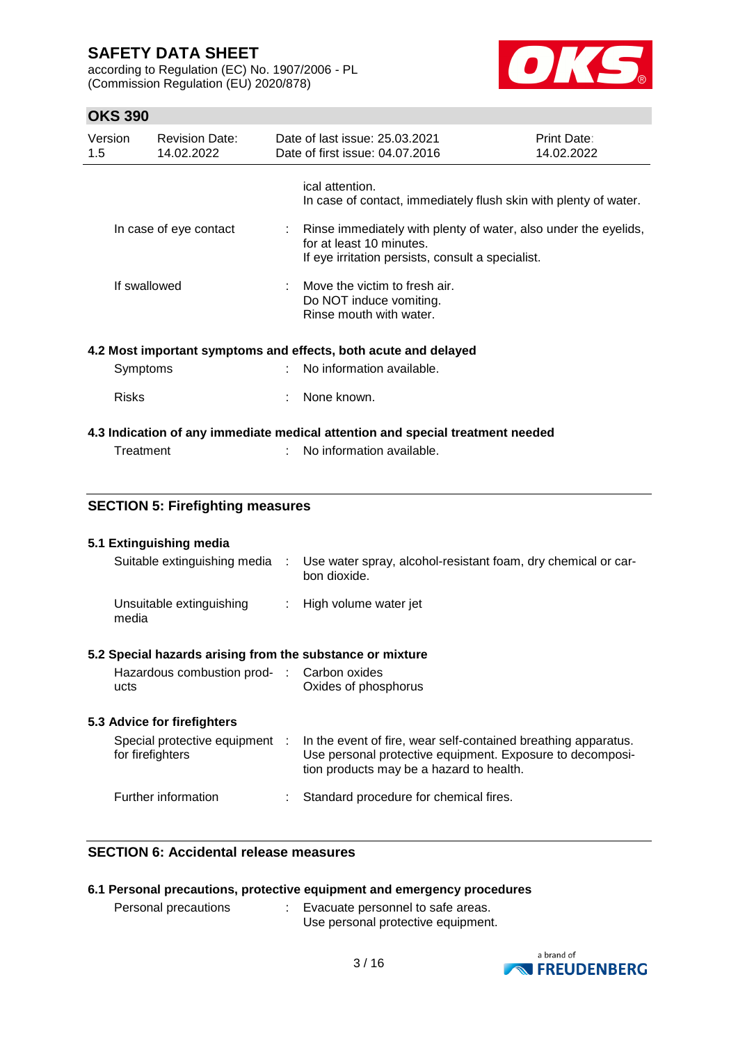according to Regulation (EC) No. 1907/2006 - PL (Commission Regulation (EU) 2020/878)



# **OKS 390**

| UNJ JYU        |                                                           |      |                                                                                                                                                  |                           |  |
|----------------|-----------------------------------------------------------|------|--------------------------------------------------------------------------------------------------------------------------------------------------|---------------------------|--|
| Version<br>1.5 | <b>Revision Date:</b><br>14.02.2022                       |      | Date of last issue: 25.03.2021<br>Date of first issue: 04.07.2016                                                                                | Print Date:<br>14.02.2022 |  |
|                |                                                           |      | ical attention.<br>In case of contact, immediately flush skin with plenty of water.                                                              |                           |  |
|                | In case of eye contact                                    | t.   | Rinse immediately with plenty of water, also under the eyelids,<br>for at least 10 minutes.<br>If eye irritation persists, consult a specialist. |                           |  |
|                | If swallowed                                              |      | Move the victim to fresh air.<br>Do NOT induce vomiting.<br>Rinse mouth with water.                                                              |                           |  |
|                |                                                           |      | 4.2 Most important symptoms and effects, both acute and delayed                                                                                  |                           |  |
|                | Symptoms                                                  |      | No information available.                                                                                                                        |                           |  |
|                |                                                           |      |                                                                                                                                                  |                           |  |
| <b>Risks</b>   |                                                           |      | None known.                                                                                                                                      |                           |  |
|                |                                                           |      | 4.3 Indication of any immediate medical attention and special treatment needed                                                                   |                           |  |
|                | Treatment                                                 |      | No information available.                                                                                                                        |                           |  |
|                |                                                           |      |                                                                                                                                                  |                           |  |
|                | <b>SECTION 5: Firefighting measures</b>                   |      |                                                                                                                                                  |                           |  |
|                | 5.1 Extinguishing media                                   |      |                                                                                                                                                  |                           |  |
|                | Suitable extinguishing media                              | - 11 | Use water spray, alcohol-resistant foam, dry chemical or car-                                                                                    |                           |  |
|                |                                                           |      | bon dioxide.                                                                                                                                     |                           |  |
| media          | Unsuitable extinguishing                                  | t.   | High volume water jet                                                                                                                            |                           |  |
|                | 5.2 Special hazards arising from the substance or mixture |      |                                                                                                                                                  |                           |  |
|                | Hazardous combustion prod- :                              |      | Carbon oxides                                                                                                                                    |                           |  |
| ucts           |                                                           |      | Oxides of phosphorus                                                                                                                             |                           |  |

# **5.3 Advice for firefighters**

| Special protective equipment<br>for firefighters | In the event of fire, wear self-contained breathing apparatus.<br>Use personal protective equipment. Exposure to decomposi-<br>tion products may be a hazard to health. |
|--------------------------------------------------|-------------------------------------------------------------------------------------------------------------------------------------------------------------------------|
| Further information                              | Standard procedure for chemical fires.                                                                                                                                  |

## **SECTION 6: Accidental release measures**

|  |  |  |  |  |  | 6.1 Personal precautions, protective equipment and emergency procedures |
|--|--|--|--|--|--|-------------------------------------------------------------------------|
|--|--|--|--|--|--|-------------------------------------------------------------------------|

| Personal precautions | Evacuate personnel to safe areas.  |
|----------------------|------------------------------------|
|                      | Use personal protective equipment. |

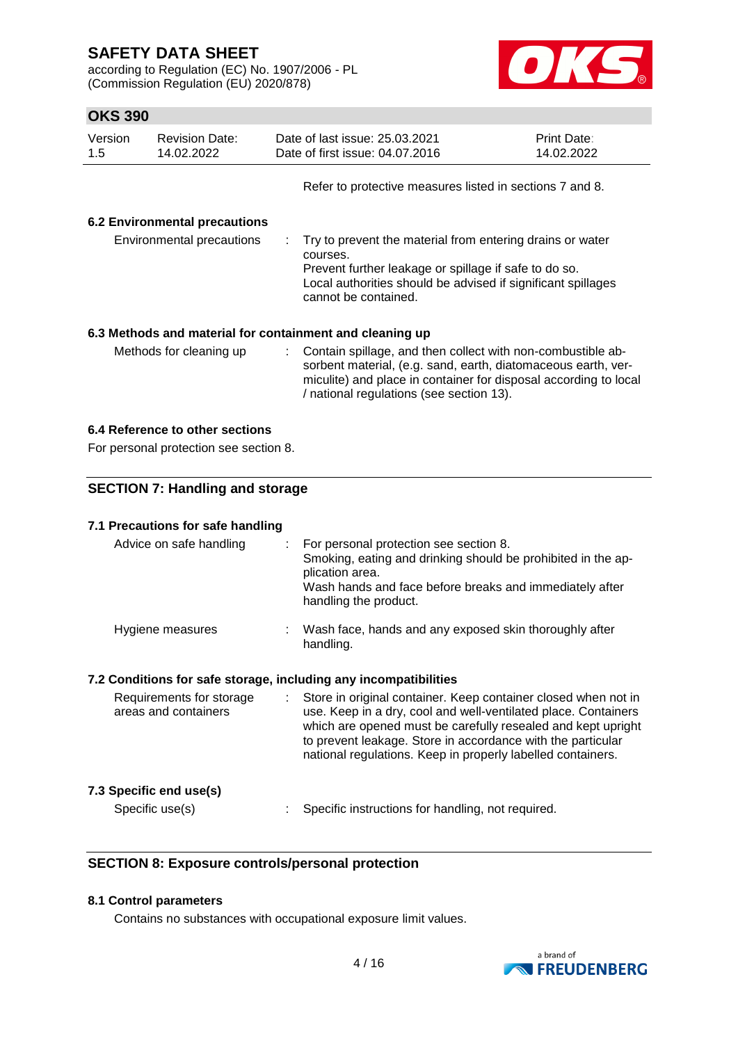according to Regulation (EC) No. 1907/2006 - PL (Commission Regulation (EU) 2020/878)



# **OKS 390**

| Version<br>1.5            | <b>Revision Date:</b><br>14.02.2022  |                                                                                                                                                                                                                          | Date of last issue: 25.03.2021<br>Date of first issue: 04.07.2016 | Print Date:<br>14.02.2022 |
|---------------------------|--------------------------------------|--------------------------------------------------------------------------------------------------------------------------------------------------------------------------------------------------------------------------|-------------------------------------------------------------------|---------------------------|
|                           |                                      |                                                                                                                                                                                                                          | Refer to protective measures listed in sections 7 and 8.          |                           |
|                           | <b>6.2 Environmental precautions</b> |                                                                                                                                                                                                                          |                                                                   |                           |
| Environmental precautions |                                      | : Try to prevent the material from entering drains or water<br>courses.<br>Prevent further leakage or spillage if safe to do so.<br>Local authorities should be advised if significant spillages<br>cannot be contained. |                                                                   |                           |
|                           |                                      |                                                                                                                                                                                                                          | 6.3 Methods and material for containment and cleaning up          |                           |
| Methods for cleaning up   |                                      | : Contain spillage, and then collect with non-combustible ab-<br>sorbent material, (e.g. sand, earth, diatomaceous earth, ver-<br>miculite) and place in container for disposal according to local                       |                                                                   |                           |

/ national regulations (see section 13).

### **6.4 Reference to other sections**

For personal protection see section 8.

### **SECTION 7: Handling and storage**

| 7.1 Precautions for safe handling                                |                                                                                                                                                                                                                                                              |
|------------------------------------------------------------------|--------------------------------------------------------------------------------------------------------------------------------------------------------------------------------------------------------------------------------------------------------------|
| Advice on safe handling                                          | For personal protection see section 8.<br>$\mathbb{Z}^{\mathbb{Z}}$<br>Smoking, eating and drinking should be prohibited in the ap-<br>plication area.<br>Wash hands and face before breaks and immediately after<br>handling the product.                   |
| Hygiene measures                                                 | : Wash face, hands and any exposed skin thoroughly after<br>handling.                                                                                                                                                                                        |
| 7.2 Conditions for safe storage, including any incompatibilities |                                                                                                                                                                                                                                                              |
| Requirements for storage                                         | Store in original container. Keep container closed when not in<br>$\mathcal{L}^{\text{max}}$                                                                                                                                                                 |
| areas and containers                                             | use. Keep in a dry, cool and well-ventilated place. Containers<br>which are opened must be carefully resealed and kept upright<br>to prevent leakage. Store in accordance with the particular<br>national regulations. Keep in properly labelled containers. |
| 7.3 Specific end use(s)                                          |                                                                                                                                                                                                                                                              |

## **SECTION 8: Exposure controls/personal protection**

### **8.1 Control parameters**

Contains no substances with occupational exposure limit values.

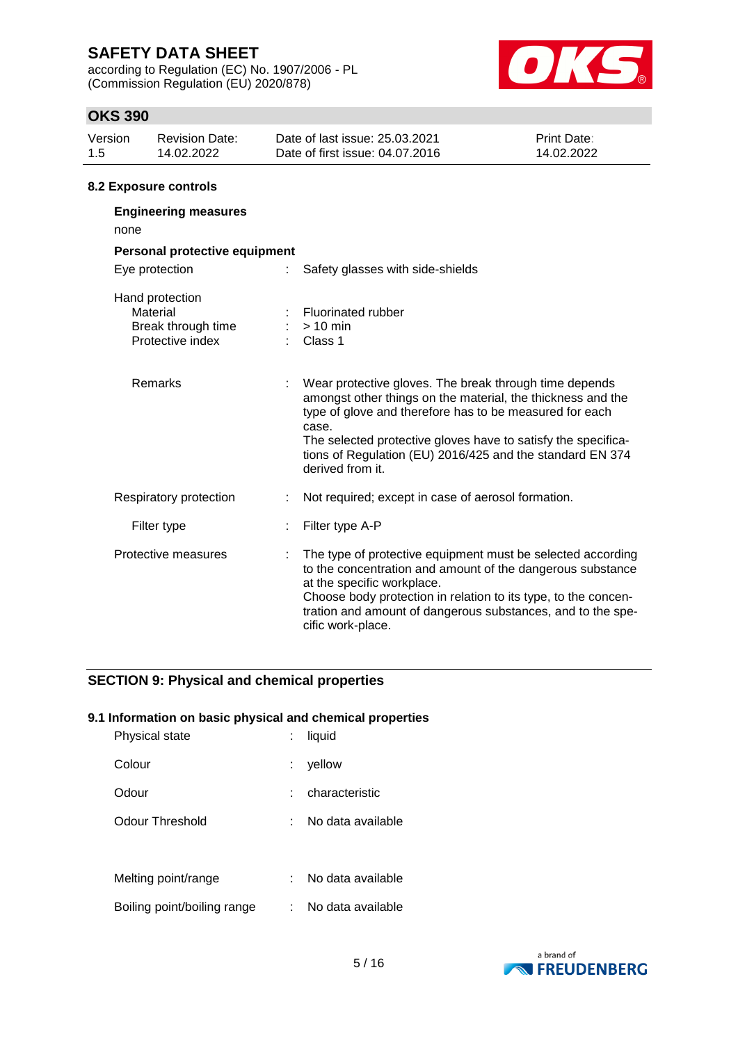according to Regulation (EC) No. 1907/2006 - PL (Commission Regulation (EU) 2020/878)



## **OKS 390**

|         | 8.2 Exposure controls |                                 |                    |  |
|---------|-----------------------|---------------------------------|--------------------|--|
| -1.5    | 14.02.2022            | Date of first issue: 04.07.2016 | 14.02.2022         |  |
| Version | <b>Revision Date:</b> | Date of last issue: 25.03.2021  | <b>Print Date:</b> |  |

| <b>Engineering measures</b><br>none                                   |                                                                                                                                                                                                                                                                                                                                             |
|-----------------------------------------------------------------------|---------------------------------------------------------------------------------------------------------------------------------------------------------------------------------------------------------------------------------------------------------------------------------------------------------------------------------------------|
| Personal protective equipment                                         |                                                                                                                                                                                                                                                                                                                                             |
| Eye protection<br>÷.                                                  | Safety glasses with side-shields                                                                                                                                                                                                                                                                                                            |
| Hand protection<br>Material<br>Break through time<br>Protective index | Fluorinated rubber<br>$> 10$ min<br>Class 1                                                                                                                                                                                                                                                                                                 |
| Remarks                                                               | Wear protective gloves. The break through time depends<br>amongst other things on the material, the thickness and the<br>type of glove and therefore has to be measured for each<br>case.<br>The selected protective gloves have to satisfy the specifica-<br>tions of Regulation (EU) 2016/425 and the standard EN 374<br>derived from it. |
| Respiratory protection                                                | Not required; except in case of aerosol formation.                                                                                                                                                                                                                                                                                          |
| Filter type                                                           | Filter type A-P                                                                                                                                                                                                                                                                                                                             |
| Protective measures                                                   | The type of protective equipment must be selected according<br>to the concentration and amount of the dangerous substance<br>at the specific workplace.<br>Choose body protection in relation to its type, to the concen-<br>tration and amount of dangerous substances, and to the spe-<br>cific work-place.                               |

### **SECTION 9: Physical and chemical properties**

### **9.1 Information on basic physical and chemical properties**

| Physical state              | liquid            |
|-----------------------------|-------------------|
| Colour                      | yellow            |
| Odour                       | characteristic    |
| Odour Threshold             | No data available |
|                             |                   |
| Melting point/range         | No data available |
| Boiling point/boiling range | No data available |

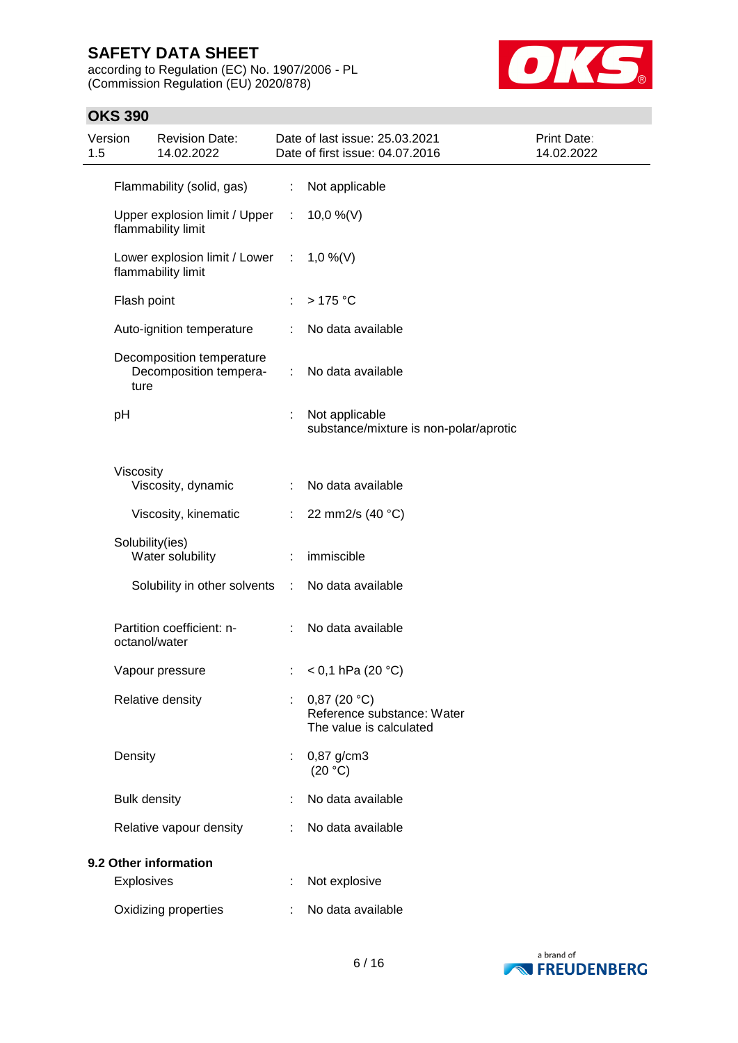according to Regulation (EC) No. 1907/2006 - PL (Commission Regulation (EU) 2020/878)



# **OKS 390**

| Version<br>1.5 |                     | <b>Revision Date:</b><br>14.02.2022                 |                               | Date of last issue: 25.03.2021<br>Date of first issue: 04.07.2016    | Print Date:<br>14.02.2022 |
|----------------|---------------------|-----------------------------------------------------|-------------------------------|----------------------------------------------------------------------|---------------------------|
|                |                     | Flammability (solid, gas)                           | $\mathbb{Z}^{\times}$         | Not applicable                                                       |                           |
|                |                     | Upper explosion limit / Upper<br>flammability limit | $\mathcal{I}^{\mathcal{I}}$ . | 10,0 %(V)                                                            |                           |
|                |                     | Lower explosion limit / Lower<br>flammability limit | -11                           | 1,0 %(V)                                                             |                           |
|                | Flash point         |                                                     |                               | $>175$ °C                                                            |                           |
|                |                     | Auto-ignition temperature                           |                               | No data available                                                    |                           |
|                | ture                | Decomposition temperature<br>Decomposition tempera- | ÷                             | No data available                                                    |                           |
|                | pH                  |                                                     |                               | Not applicable<br>substance/mixture is non-polar/aprotic             |                           |
|                | Viscosity           |                                                     |                               |                                                                      |                           |
|                |                     | Viscosity, dynamic                                  |                               | No data available                                                    |                           |
|                |                     | Viscosity, kinematic                                | ÷.                            | 22 mm2/s (40 °C)                                                     |                           |
|                | Solubility(ies)     | Water solubility                                    |                               | immiscible                                                           |                           |
|                |                     | Solubility in other solvents                        | ÷                             | No data available                                                    |                           |
|                | octanol/water       | Partition coefficient: n-                           |                               | No data available                                                    |                           |
|                |                     | Vapour pressure                                     |                               | $<$ 0,1 hPa (20 °C)                                                  |                           |
|                |                     | Relative density                                    | ÷                             | 0,87(20 °C)<br>Reference substance: Water<br>The value is calculated |                           |
|                | Density             |                                                     |                               | 0,87 g/cm3<br>(20 °C)                                                |                           |
|                | <b>Bulk density</b> |                                                     |                               | No data available                                                    |                           |
|                |                     | Relative vapour density                             |                               | No data available                                                    |                           |
|                |                     | 9.2 Other information                               |                               |                                                                      |                           |
|                | Explosives          |                                                     |                               | Not explosive                                                        |                           |
|                |                     | Oxidizing properties                                |                               | No data available                                                    |                           |

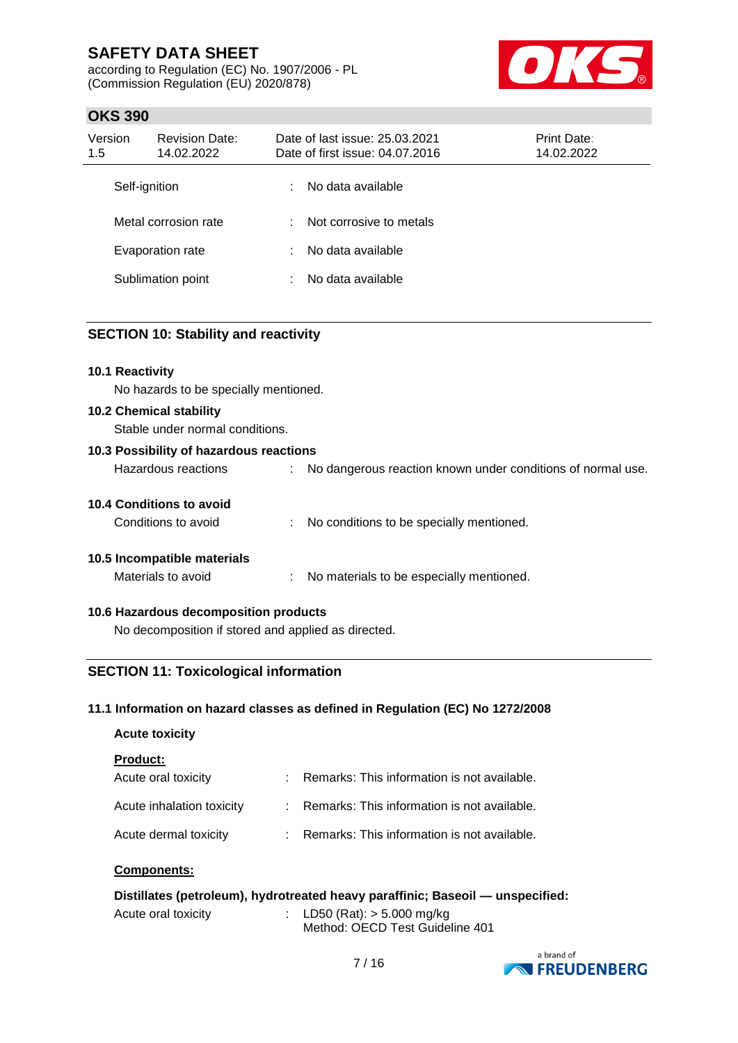according to Regulation (EC) No. 1907/2006 - PL (Commission Regulation (EU) 2020/878)



## **OKS 390**

| Version<br>1.5       | <b>Revision Date:</b><br>14.02.2022 |    | Date of last issue: 25.03.2021<br>Date of first issue: 04.07.2016 | Print Date:<br>14.02.2022 |
|----------------------|-------------------------------------|----|-------------------------------------------------------------------|---------------------------|
| Self-ignition        |                                     | ÷  | No data available                                                 |                           |
| Metal corrosion rate |                                     | ۰. | Not corrosive to metals                                           |                           |
|                      | Evaporation rate                    | ÷  | No data available                                                 |                           |
|                      | Sublimation point                   | ÷  | No data available                                                 |                           |

### **SECTION 10: Stability and reactivity**

#### **10.1 Reactivity**

No hazards to be specially mentioned.

#### **10.2 Chemical stability**

Stable under normal conditions.

| 10.3 Possibility of hazardous reactions |    |                                                             |
|-----------------------------------------|----|-------------------------------------------------------------|
| Hazardous reactions                     | ÷. | No dangerous reaction known under conditions of normal use. |
| 10.4 Conditions to avoid                |    |                                                             |
| Conditions to avoid                     | ÷. | No conditions to be specially mentioned.                    |
| 10.5 Incompatible materials             |    |                                                             |

Materials to avoid : No materials to be especially mentioned.

#### **10.6 Hazardous decomposition products**

No decomposition if stored and applied as directed.

## **SECTION 11: Toxicological information**

#### **11.1 Information on hazard classes as defined in Regulation (EC) No 1272/2008**

| <b>Acute toxicity</b>     |                                             |
|---------------------------|---------------------------------------------|
| <b>Product:</b>           |                                             |
| Acute oral toxicity       | Remarks: This information is not available. |
| Acute inhalation toxicity | Remarks: This information is not available. |
| Acute dermal toxicity     | Remarks: This information is not available. |

#### **Components:**

| Distillates (petroleum), hydrotreated heavy paraffinic; Baseoil - unspecified: |  |                                                                  |  |  |
|--------------------------------------------------------------------------------|--|------------------------------------------------------------------|--|--|
| Acute oral toxicity                                                            |  | : LD50 (Rat): $>$ 5.000 mg/kg<br>Method: OECD Test Guideline 401 |  |  |

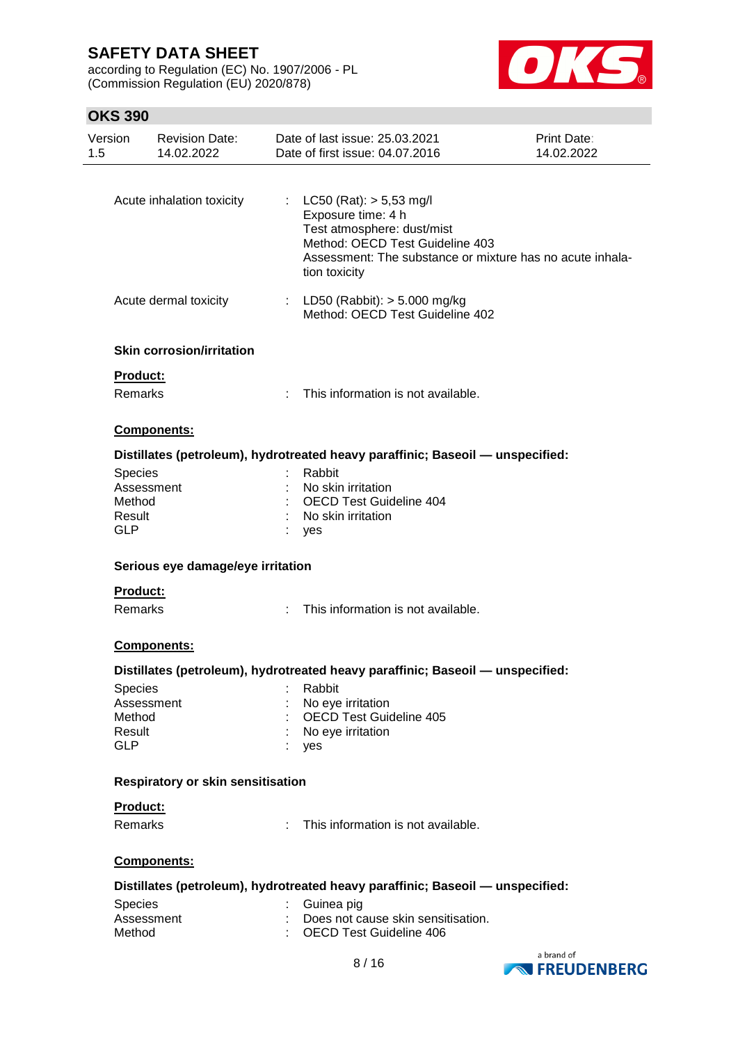according to Regulation (EC) No. 1907/2006 - PL (Commission Regulation (EU) 2020/878)



# **OKS 390**

| Version<br>1.5                            | <b>Revision Date:</b><br>14.02.2022 |    | Date of last issue: 25.03.2021<br>Date of first issue: 04.07.2016                                                                                                                                   | Print Date:<br>14.02.2022 |
|-------------------------------------------|-------------------------------------|----|-----------------------------------------------------------------------------------------------------------------------------------------------------------------------------------------------------|---------------------------|
|                                           | Acute inhalation toxicity           |    | : $LC50 (Rat)$ : $> 5,53$ mg/l<br>Exposure time: 4 h<br>Test atmosphere: dust/mist<br>Method: OECD Test Guideline 403<br>Assessment: The substance or mixture has no acute inhala-<br>tion toxicity |                           |
|                                           | Acute dermal toxicity               | ÷. | LD50 (Rabbit): $> 5.000$ mg/kg<br>Method: OECD Test Guideline 402                                                                                                                                   |                           |
|                                           | <b>Skin corrosion/irritation</b>    |    |                                                                                                                                                                                                     |                           |
|                                           | <b>Product:</b><br><b>Remarks</b>   | ÷  | This information is not available.                                                                                                                                                                  |                           |
|                                           | <b>Components:</b>                  |    |                                                                                                                                                                                                     |                           |
|                                           |                                     |    | Distillates (petroleum), hydrotreated heavy paraffinic; Baseoil — unspecified:                                                                                                                      |                           |
| Species<br>Method<br>Result<br><b>GLP</b> | Assessment                          |    | Rabbit<br>No skin irritation<br><b>OECD Test Guideline 404</b><br>No skin irritation<br>yes                                                                                                         |                           |
|                                           | Serious eye damage/eye irritation   |    |                                                                                                                                                                                                     |                           |
|                                           | <b>Product:</b>                     |    |                                                                                                                                                                                                     |                           |
|                                           | <b>Remarks</b>                      | ÷. | This information is not available.                                                                                                                                                                  |                           |
|                                           | <b>Components:</b>                  |    |                                                                                                                                                                                                     |                           |
|                                           |                                     |    | Distillates (petroleum), hydrotreated heavy paraffinic; Baseoil — unspecified:                                                                                                                      |                           |
| Species<br>Method<br>Result<br><b>GLP</b> | Assessment                          |    | Rabbit<br>No eye irritation<br><b>OECD Test Guideline 405</b><br>No eye irritation<br>yes                                                                                                           |                           |
|                                           | Respiratory or skin sensitisation   |    |                                                                                                                                                                                                     |                           |
|                                           | <b>Product:</b>                     |    |                                                                                                                                                                                                     |                           |
|                                           | <b>Remarks</b>                      |    | This information is not available.                                                                                                                                                                  |                           |
|                                           | <b>Components:</b>                  |    |                                                                                                                                                                                                     |                           |
|                                           |                                     |    | Distillates (petroleum), hydrotreated heavy paraffinic; Baseoil — unspecified:                                                                                                                      |                           |
| Species<br>Method                         | Assessment                          |    | Guinea pig<br>Does not cause skin sensitisation.<br><b>OECD Test Guideline 406</b>                                                                                                                  |                           |

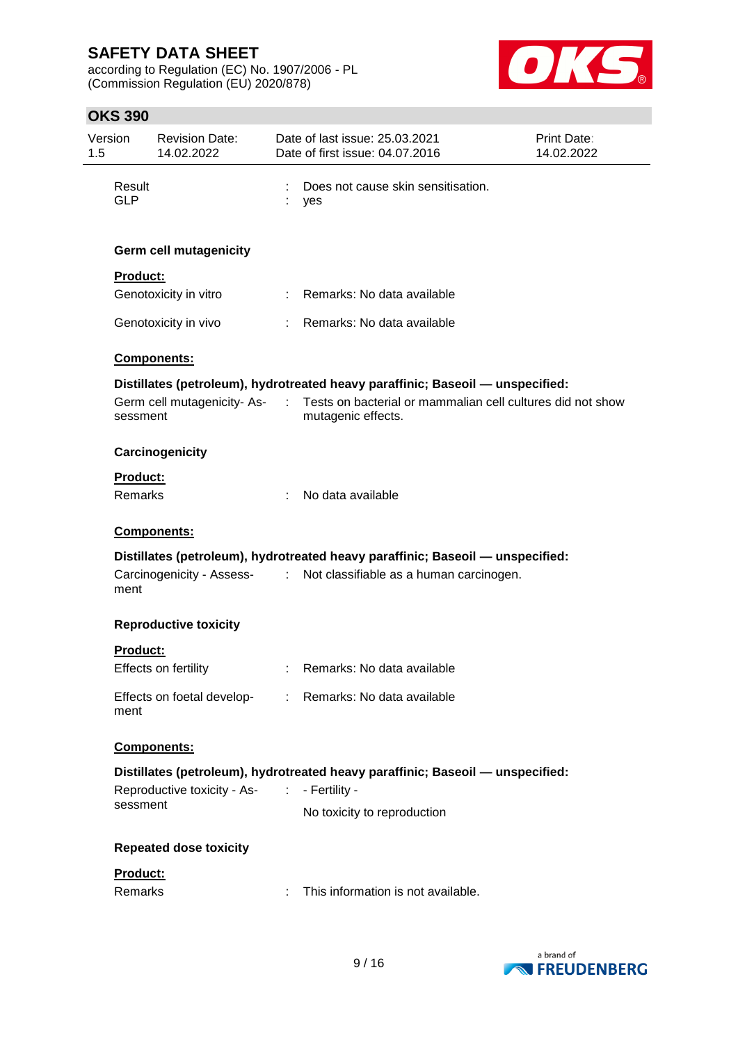according to Regulation (EC) No. 1907/2006 - PL (Commission Regulation (EU) 2020/878)



# **OKS 390**

| Version<br>1.5 |                           | <b>Revision Date:</b><br>14.02.2022 |                             | Date of last issue: 25.03.2021<br>Date of first issue: 04.07.2016                                                         | Print Date:<br>14.02.2022 |
|----------------|---------------------------|-------------------------------------|-----------------------------|---------------------------------------------------------------------------------------------------------------------------|---------------------------|
|                | Result<br>GI <sub>P</sub> |                                     | ÷                           | Does not cause skin sensitisation.<br>yes                                                                                 |                           |
|                |                           | <b>Germ cell mutagenicity</b>       |                             |                                                                                                                           |                           |
|                | <b>Product:</b>           |                                     |                             |                                                                                                                           |                           |
|                |                           | Genotoxicity in vitro               |                             | : Remarks: No data available                                                                                              |                           |
|                |                           | Genotoxicity in vivo                |                             | : Remarks: No data available                                                                                              |                           |
|                |                           | Components:                         |                             |                                                                                                                           |                           |
|                |                           |                                     |                             | Distillates (petroleum), hydrotreated heavy paraffinic; Baseoil - unspecified:                                            |                           |
|                | sessment                  | Germ cell mutagenicity-As-          | $\mathcal{L}^{\mathcal{L}}$ | Tests on bacterial or mammalian cell cultures did not show<br>mutagenic effects.                                          |                           |
|                |                           | Carcinogenicity                     |                             |                                                                                                                           |                           |
|                | <b>Product:</b>           |                                     |                             |                                                                                                                           |                           |
|                | <b>Remarks</b>            |                                     |                             | No data available                                                                                                         |                           |
|                |                           | Components:                         |                             |                                                                                                                           |                           |
|                | ment                      | Carcinogenicity - Assess- :         |                             | Distillates (petroleum), hydrotreated heavy paraffinic; Baseoil - unspecified:<br>Not classifiable as a human carcinogen. |                           |
|                |                           | <b>Reproductive toxicity</b>        |                             |                                                                                                                           |                           |
|                | <b>Product:</b>           |                                     |                             |                                                                                                                           |                           |
|                |                           | Effects on fertility                |                             | Remarks: No data available                                                                                                |                           |
|                | ment                      |                                     |                             | Effects on foetal develop- : Remarks: No data available                                                                   |                           |
|                |                           | Components:                         |                             |                                                                                                                           |                           |
|                |                           |                                     |                             | Distillates (petroleum), hydrotreated heavy paraffinic; Baseoil - unspecified:                                            |                           |
|                | sessment                  | Reproductive toxicity - As-<br>:    |                             | - Fertility -                                                                                                             |                           |
|                |                           |                                     |                             | No toxicity to reproduction                                                                                               |                           |
|                |                           | <b>Repeated dose toxicity</b>       |                             |                                                                                                                           |                           |
|                | Product:                  |                                     |                             |                                                                                                                           |                           |
|                | Remarks                   |                                     | ÷                           | This information is not available.                                                                                        |                           |
|                |                           |                                     |                             |                                                                                                                           |                           |

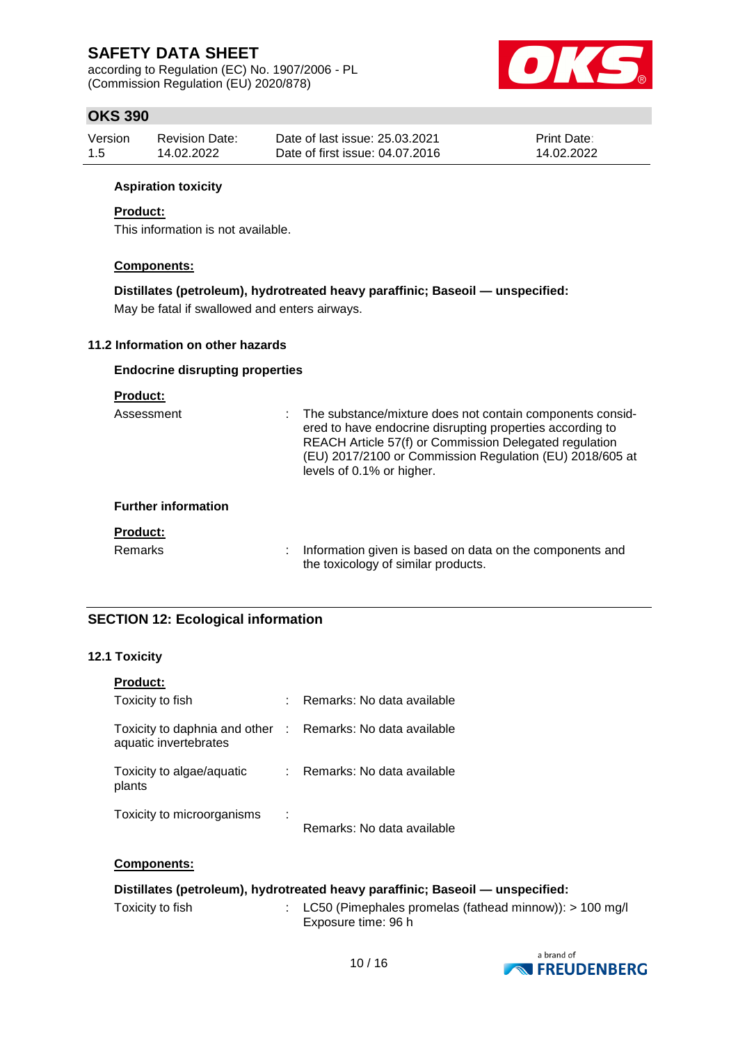according to Regulation (EC) No. 1907/2006 - PL (Commission Regulation (EU) 2020/878)



# **OKS 390**

| Version | <b>Revision Date:</b> | Date of last issue: 25.03.2021  | <b>Print Date:</b> |
|---------|-----------------------|---------------------------------|--------------------|
| -1.5    | 14.02.2022            | Date of first issue: 04.07.2016 | 14.02.2022         |

#### **Aspiration toxicity**

#### **Product:**

This information is not available.

#### **Components:**

**Distillates (petroleum), hydrotreated heavy paraffinic; Baseoil — unspecified:** May be fatal if swallowed and enters airways.

#### **11.2 Information on other hazards**

#### **Endocrine disrupting properties**

#### **Product:**

| Assessment                 | t. | The substance/mixture does not contain components consid-<br>ered to have endocrine disrupting properties according to<br>REACH Article 57(f) or Commission Delegated regulation<br>(EU) 2017/2100 or Commission Regulation (EU) 2018/605 at<br>levels of 0.1% or higher. |
|----------------------------|----|---------------------------------------------------------------------------------------------------------------------------------------------------------------------------------------------------------------------------------------------------------------------------|
| <b>Further information</b> |    |                                                                                                                                                                                                                                                                           |
| <b>Product:</b>            |    |                                                                                                                                                                                                                                                                           |
| Remarks                    |    | Information given is based on data on the components and<br>the toxicology of similar products.                                                                                                                                                                           |

### **SECTION 12: Ecological information**

#### **12.1 Toxicity**

| <b>Product:</b>                                                                     |   |                            |
|-------------------------------------------------------------------------------------|---|----------------------------|
| Toxicity to fish                                                                    |   | Remarks: No data available |
| Toxicity to daphnia and other : Remarks: No data available<br>aquatic invertebrates |   |                            |
| Toxicity to algae/aquatic<br>plants                                                 |   | Remarks: No data available |
| Toxicity to microorganisms                                                          | ÷ | Remarks: No data available |

#### **Components:**

## **Distillates (petroleum), hydrotreated heavy paraffinic; Baseoil — unspecified:**

Toxicity to fish : LC50 (Pimephales promelas (fathead minnow)): > 100 mg/l Exposure time: 96 h

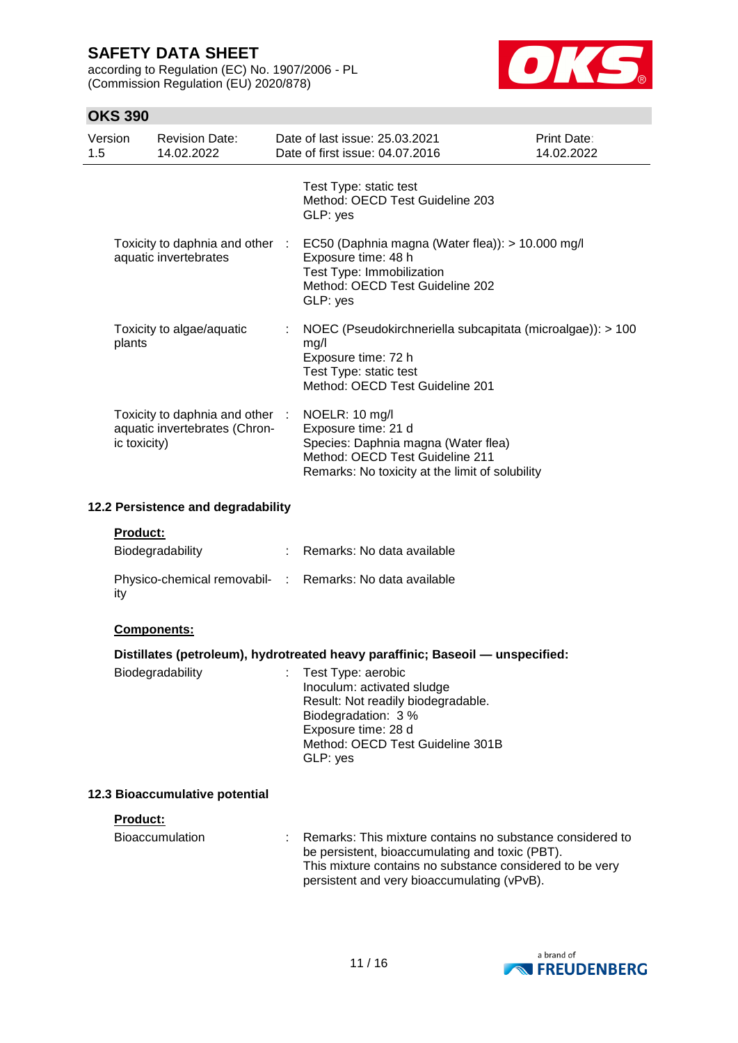according to Regulation (EC) No. 1907/2006 - PL (Commission Regulation (EU) 2020/878)



## **OKS 390**

| Version<br>1.5                                           | <b>Revision Date:</b><br>14.02.2022                                              | Date of last issue: 25,03,2021<br>Date of first issue: 04.07.2016                                                                                                  | Print Date:<br>14.02.2022 |
|----------------------------------------------------------|----------------------------------------------------------------------------------|--------------------------------------------------------------------------------------------------------------------------------------------------------------------|---------------------------|
|                                                          |                                                                                  | Test Type: static test<br>Method: OECD Test Guideline 203<br>GLP: yes                                                                                              |                           |
| Toxicity to daphnia and other :<br>aquatic invertebrates |                                                                                  | EC50 (Daphnia magna (Water flea)): > 10.000 mg/l<br>Exposure time: 48 h<br>Test Type: Immobilization<br>Method: OECD Test Guideline 202<br>GLP: yes                |                           |
| plants                                                   | Toxicity to algae/aquatic                                                        | NOEC (Pseudokirchneriella subcapitata (microalgae)): > 100<br>mg/l<br>Exposure time: 72 h<br>Test Type: static test<br>Method: OECD Test Guideline 201             |                           |
|                                                          | Toxicity to daphnia and other :<br>aquatic invertebrates (Chron-<br>ic toxicity) | NOELR: 10 mg/l<br>Exposure time: 21 d<br>Species: Daphnia magna (Water flea)<br>Method: OECD Test Guideline 211<br>Remarks: No toxicity at the limit of solubility |                           |

### **12.2 Persistence and degradability**

#### **Product:**

| Biodegradability                                                | : Remarks: No data available |
|-----------------------------------------------------------------|------------------------------|
| Physico-chemical removabil- : Remarks: No data available<br>ity |                              |

#### **Components:**

#### **Distillates (petroleum), hydrotreated heavy paraffinic; Baseoil — unspecified:**

| Biodegradability |  | : Test Type: aerobic<br>Inoculum: activated sludge<br>Result: Not readily biodegradable.<br>Biodegradation: 3 %<br>Exposure time: 28 d<br>Method: OECD Test Guideline 301B<br>GLP: yes |
|------------------|--|----------------------------------------------------------------------------------------------------------------------------------------------------------------------------------------|
|------------------|--|----------------------------------------------------------------------------------------------------------------------------------------------------------------------------------------|

#### **12.3 Bioaccumulative potential**

#### **Product:**

| Bioaccumulation | : Remarks: This mixture contains no substance considered to |  |
|-----------------|-------------------------------------------------------------|--|
|                 | be persistent, bioaccumulating and toxic (PBT).             |  |
|                 | This mixture contains no substance considered to be very    |  |
|                 | persistent and very bioaccumulating (vPvB).                 |  |

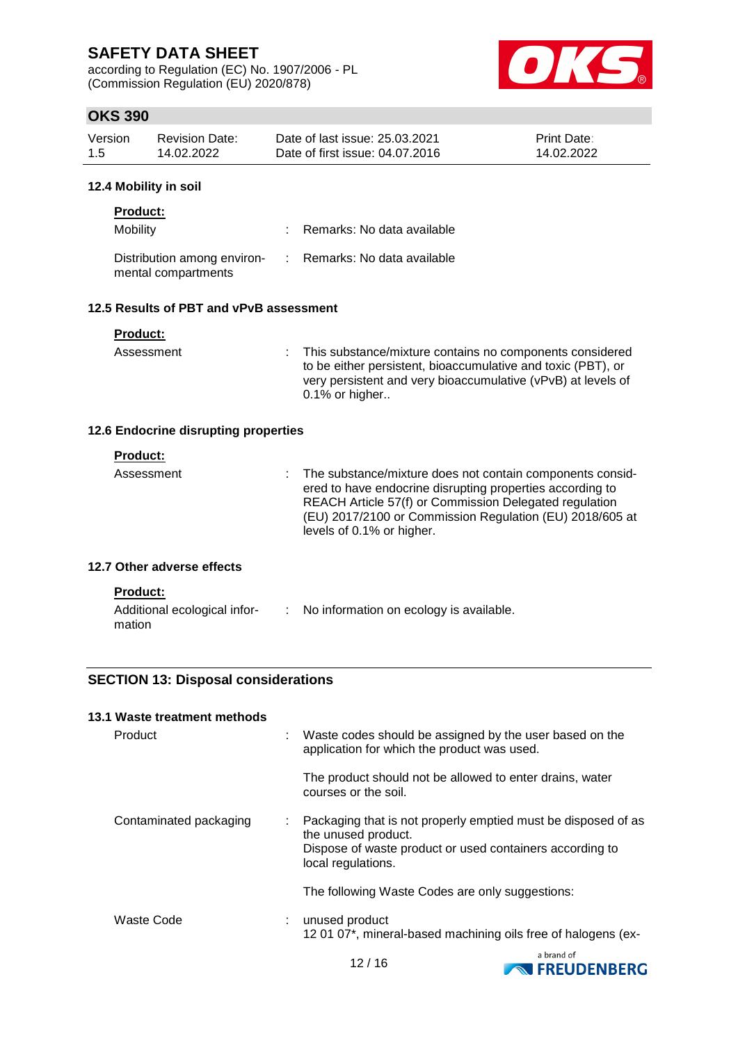according to Regulation (EC) No. 1907/2006 - PL (Commission Regulation (EU) 2020/878)



## **OKS 390**

| Version | Revision Date: | Date of last issue: 25.03.2021  | <b>Print Date:</b> |
|---------|----------------|---------------------------------|--------------------|
| 1.5     | 14.02.2022     | Date of first issue: 04.07.2016 | 14.02.2022         |

#### **12.4 Mobility in soil**

| <b>Product:</b>                                    |                              |
|----------------------------------------------------|------------------------------|
| Mobility                                           | : Remarks: No data available |
| Distribution among environ-<br>mental compartments | : Remarks: No data available |

### **12.5 Results of PBT and vPvB assessment**

| Product: |  |  |  |  |
|----------|--|--|--|--|
|          |  |  |  |  |

mation

Assessment : This substance/mixture contains no components considered to be either persistent, bioaccumulative and toxic (PBT), or very persistent and very bioaccumulative (vPvB) at levels of 0.1% or higher..

### **12.6 Endocrine disrupting properties**

| <b>Product:</b><br>Assessment                   |  | The substance/mixture does not contain components consid-<br>ered to have endocrine disrupting properties according to<br>REACH Article 57(f) or Commission Delegated regulation<br>(EU) 2017/2100 or Commission Regulation (EU) 2018/605 at<br>levels of 0.1% or higher. |
|-------------------------------------------------|--|---------------------------------------------------------------------------------------------------------------------------------------------------------------------------------------------------------------------------------------------------------------------------|
| 12.7 Other adverse effects                      |  |                                                                                                                                                                                                                                                                           |
| <b>Product:</b><br>Additional ecological infor- |  | No information on ecology is available.                                                                                                                                                                                                                                   |

### **SECTION 13: Disposal considerations**

| 13.1 Waste treatment methods |                           |                                                                                                                                                                        |
|------------------------------|---------------------------|------------------------------------------------------------------------------------------------------------------------------------------------------------------------|
| Product                      |                           | Waste codes should be assigned by the user based on the<br>application for which the product was used.                                                                 |
|                              |                           | The product should not be allowed to enter drains, water<br>courses or the soil.                                                                                       |
| Contaminated packaging       | $\mathbb{Z}^{\mathbb{Z}}$ | Packaging that is not properly emptied must be disposed of as<br>the unused product.<br>Dispose of waste product or used containers according to<br>local regulations. |
|                              |                           | The following Waste Codes are only suggestions:                                                                                                                        |
| Waste Code                   |                           | unused product<br>12 01 07*, mineral-based machining oils free of halogens (ex-                                                                                        |



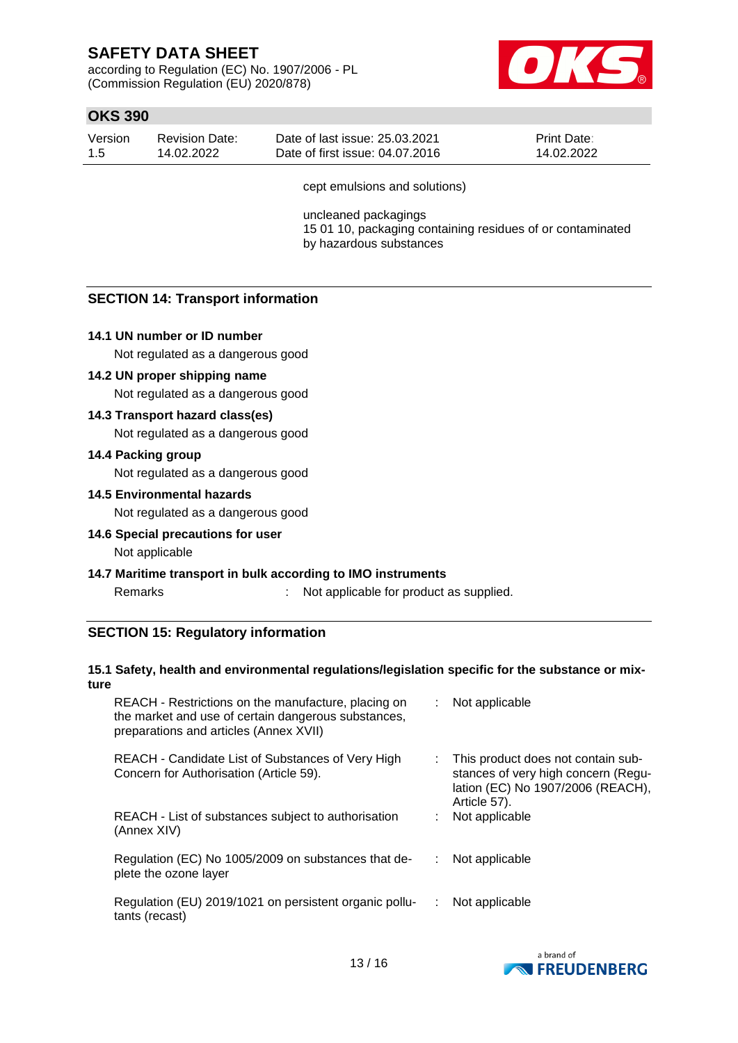according to Regulation (EC) No. 1907/2006 - PL (Commission Regulation (EU) 2020/878)



## **OKS 390**

| Version | Revision Date: | Date of last issue: 25.03.2021  | <b>Print Date:</b> |
|---------|----------------|---------------------------------|--------------------|
| -1.5    | 14.02.2022     | Date of first issue: 04.07.2016 | 14.02.2022         |

cept emulsions and solutions)

uncleaned packagings 15 01 10, packaging containing residues of or contaminated by hazardous substances

### **SECTION 14: Transport information**

#### **14.1 UN number or ID number**

Not regulated as a dangerous good

#### **14.2 UN proper shipping name**

Not regulated as a dangerous good

#### **14.3 Transport hazard class(es)**

Not regulated as a dangerous good

#### **14.4 Packing group**

Not regulated as a dangerous good

#### **14.5 Environmental hazards**

Not regulated as a dangerous good

#### **14.6 Special precautions for user**

Not applicable

#### **14.7 Maritime transport in bulk according to IMO instruments**

Remarks : Not applicable for product as supplied.

#### **SECTION 15: Regulatory information**

#### **15.1 Safety, health and environmental regulations/legislation specific for the substance or mixture**

| REACH - Restrictions on the manufacture, placing on<br>the market and use of certain dangerous substances,<br>preparations and articles (Annex XVII) | : Not applicable                                                                                                                 |
|------------------------------------------------------------------------------------------------------------------------------------------------------|----------------------------------------------------------------------------------------------------------------------------------|
| REACH - Candidate List of Substances of Very High<br>Concern for Authorisation (Article 59).                                                         | : This product does not contain sub-<br>stances of very high concern (Regu-<br>lation (EC) No 1907/2006 (REACH),<br>Article 57). |
| REACH - List of substances subject to authorisation<br>(Annex XIV)                                                                                   | Not applicable                                                                                                                   |
| Regulation (EC) No 1005/2009 on substances that de-<br>plete the ozone layer                                                                         | Not applicable                                                                                                                   |
| Regulation (EU) 2019/1021 on persistent organic pollu-<br>tants (recast)                                                                             | Not applicable                                                                                                                   |

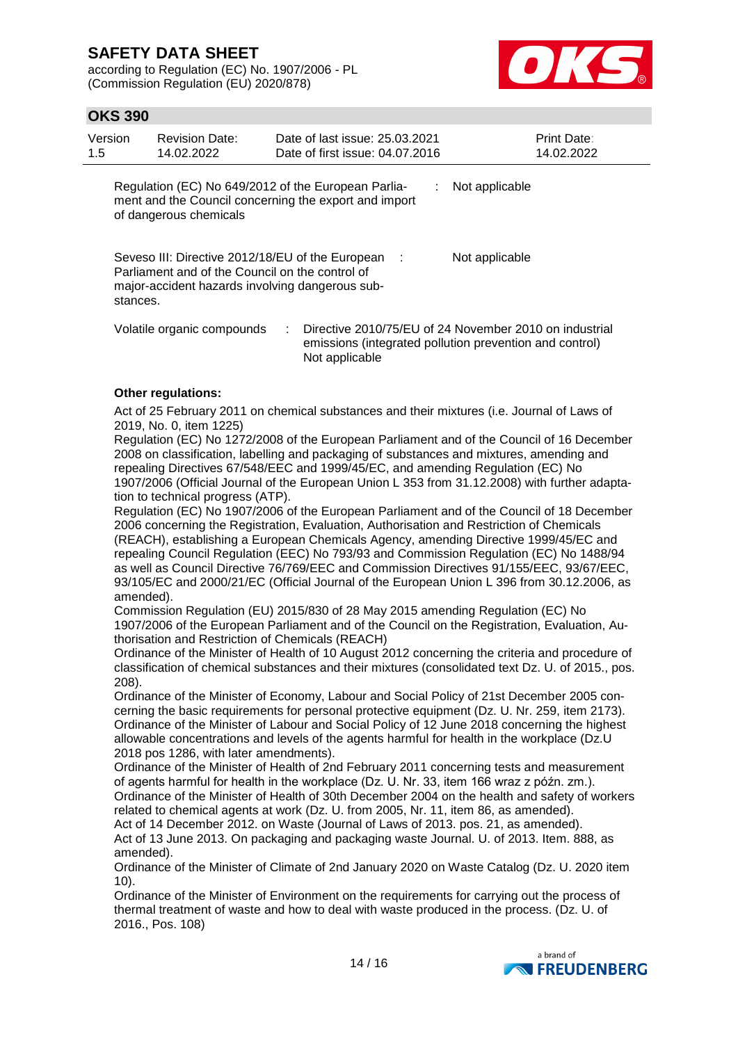according to Regulation (EC) No. 1907/2006 - PL (Commission Regulation (EU) 2020/878)



## **OKS 390**

| Version<br>1.5 | <b>Revision Date:</b><br>14.02.2022                                                                                                                      |    | Date of last issue: 25.03.2021<br>Date of first issue: 04.07.2016 |    | <b>Print Date:</b><br>14.02.2022                                                                                  |
|----------------|----------------------------------------------------------------------------------------------------------------------------------------------------------|----|-------------------------------------------------------------------|----|-------------------------------------------------------------------------------------------------------------------|
|                | Regulation (EC) No 649/2012 of the European Parlia-<br>ment and the Council concerning the export and import<br>of dangerous chemicals                   |    |                                                                   | ÷. | Not applicable                                                                                                    |
| stances.       | Seveso III: Directive 2012/18/EU of the European :<br>Parliament and of the Council on the control of<br>major-accident hazards involving dangerous sub- |    |                                                                   |    | Not applicable                                                                                                    |
|                | Volatile organic compounds                                                                                                                               | t. | Not applicable                                                    |    | Directive 2010/75/EU of 24 November 2010 on industrial<br>emissions (integrated pollution prevention and control) |

#### **Other regulations:**

Act of 25 February 2011 on chemical substances and their mixtures (i.e. Journal of Laws of 2019, No. 0, item 1225)

Regulation (EC) No 1272/2008 of the European Parliament and of the Council of 16 December 2008 on classification, labelling and packaging of substances and mixtures, amending and repealing Directives 67/548/EEC and 1999/45/EC, and amending Regulation (EC) No 1907/2006 (Official Journal of the European Union L 353 from 31.12.2008) with further adaptation to technical progress (ATP).

Regulation (EC) No 1907/2006 of the European Parliament and of the Council of 18 December 2006 concerning the Registration, Evaluation, Authorisation and Restriction of Chemicals (REACH), establishing a European Chemicals Agency, amending Directive 1999/45/EC and repealing Council Regulation (EEC) No 793/93 and Commission Regulation (EC) No 1488/94 as well as Council Directive 76/769/EEC and Commission Directives 91/155/EEC, 93/67/EEC, 93/105/EC and 2000/21/EC (Official Journal of the European Union L 396 from 30.12.2006, as amended).

Commission Regulation (EU) 2015/830 of 28 May 2015 amending Regulation (EC) No 1907/2006 of the European Parliament and of the Council on the Registration, Evaluation, Authorisation and Restriction of Chemicals (REACH)

Ordinance of the Minister of Health of 10 August 2012 concerning the criteria and procedure of classification of chemical substances and their mixtures (consolidated text Dz. U. of 2015., pos. 208).

Ordinance of the Minister of Economy, Labour and Social Policy of 21st December 2005 concerning the basic requirements for personal protective equipment (Dz. U. Nr. 259, item 2173). Ordinance of the Minister of Labour and Social Policy of 12 June 2018 concerning the highest allowable concentrations and levels of the agents harmful for health in the workplace (Dz.U 2018 pos 1286, with later amendments).

Ordinance of the Minister of Health of 2nd February 2011 concerning tests and measurement of agents harmful for health in the workplace (Dz. U. Nr. 33, item 166 wraz z późn. zm.). Ordinance of the Minister of Health of 30th December 2004 on the health and safety of workers related to chemical agents at work (Dz. U. from 2005, Nr. 11, item 86, as amended). Act of 14 December 2012. on Waste (Journal of Laws of 2013. pos. 21, as amended).

Act of 13 June 2013. On packaging and packaging waste Journal. U. of 2013. Item. 888, as amended).

Ordinance of the Minister of Climate of 2nd January 2020 on Waste Catalog (Dz. U. 2020 item 10).

Ordinance of the Minister of Environment on the requirements for carrying out the process of thermal treatment of waste and how to deal with waste produced in the process. (Dz. U. of 2016., Pos. 108)

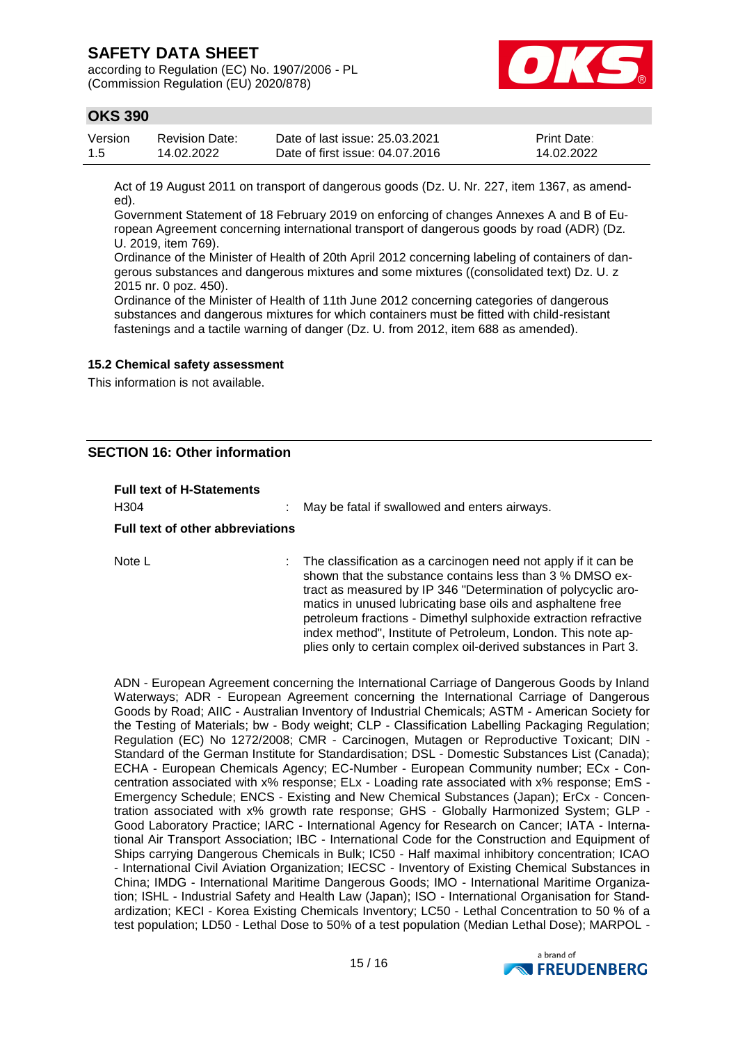according to Regulation (EC) No. 1907/2006 - PL (Commission Regulation (EU) 2020/878)



## **OKS 390**

| Version | <b>Revision Date:</b> | Date of last issue: 25.03.2021  | <b>Print Date:</b> |
|---------|-----------------------|---------------------------------|--------------------|
| -1.5    | 14.02.2022            | Date of first issue: 04.07.2016 | 14.02.2022         |

Act of 19 August 2011 on transport of dangerous goods (Dz. U. Nr. 227, item 1367, as amended).

Government Statement of 18 February 2019 on enforcing of changes Annexes A and B of European Agreement concerning international transport of dangerous goods by road (ADR) (Dz. U. 2019, item 769).

Ordinance of the Minister of Health of 20th April 2012 concerning labeling of containers of dangerous substances and dangerous mixtures and some mixtures ((consolidated text) Dz. U. z 2015 nr. 0 poz. 450).

Ordinance of the Minister of Health of 11th June 2012 concerning categories of dangerous substances and dangerous mixtures for which containers must be fitted with child-resistant fastenings and a tactile warning of danger (Dz. U. from 2012, item 688 as amended).

#### **15.2 Chemical safety assessment**

This information is not available.

### **SECTION 16: Other information**

| <b>Full text of H-Statements</b><br>H <sub>304</sub><br><b>Full text of other abbreviations</b> | May be fatal if swallowed and enters airways.                                                                                                                                                                                                                                                                                                                                                                                                                   |
|-------------------------------------------------------------------------------------------------|-----------------------------------------------------------------------------------------------------------------------------------------------------------------------------------------------------------------------------------------------------------------------------------------------------------------------------------------------------------------------------------------------------------------------------------------------------------------|
| Note L                                                                                          | The classification as a carcinogen need not apply if it can be<br>shown that the substance contains less than 3 % DMSO ex-<br>tract as measured by IP 346 "Determination of polycyclic aro-<br>matics in unused lubricating base oils and asphaltene free<br>petroleum fractions - Dimethyl sulphoxide extraction refractive<br>index method", Institute of Petroleum, London. This note ap-<br>plies only to certain complex oil-derived substances in Part 3. |

ADN - European Agreement concerning the International Carriage of Dangerous Goods by Inland Waterways; ADR - European Agreement concerning the International Carriage of Dangerous Goods by Road; AIIC - Australian Inventory of Industrial Chemicals; ASTM - American Society for the Testing of Materials; bw - Body weight; CLP - Classification Labelling Packaging Regulation; Regulation (EC) No 1272/2008; CMR - Carcinogen, Mutagen or Reproductive Toxicant; DIN - Standard of the German Institute for Standardisation; DSL - Domestic Substances List (Canada); ECHA - European Chemicals Agency; EC-Number - European Community number; ECx - Concentration associated with x% response; ELx - Loading rate associated with x% response; EmS - Emergency Schedule; ENCS - Existing and New Chemical Substances (Japan); ErCx - Concentration associated with x% growth rate response; GHS - Globally Harmonized System; GLP - Good Laboratory Practice; IARC - International Agency for Research on Cancer; IATA - International Air Transport Association; IBC - International Code for the Construction and Equipment of Ships carrying Dangerous Chemicals in Bulk; IC50 - Half maximal inhibitory concentration; ICAO - International Civil Aviation Organization; IECSC - Inventory of Existing Chemical Substances in China; IMDG - International Maritime Dangerous Goods; IMO - International Maritime Organization; ISHL - Industrial Safety and Health Law (Japan); ISO - International Organisation for Standardization; KECI - Korea Existing Chemicals Inventory; LC50 - Lethal Concentration to 50 % of a test population; LD50 - Lethal Dose to 50% of a test population (Median Lethal Dose); MARPOL -